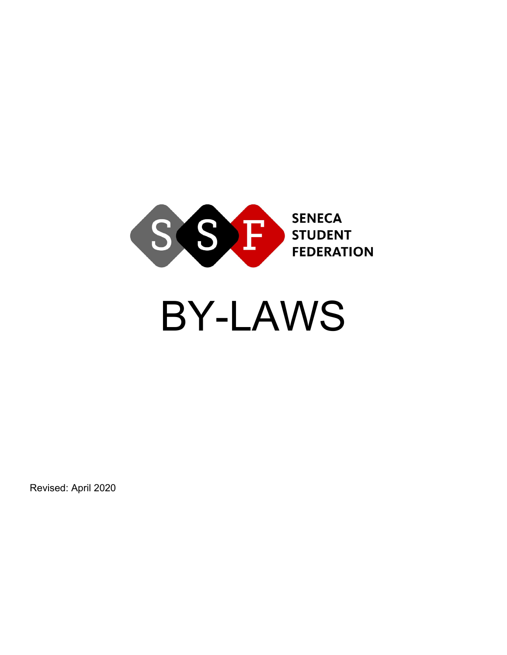

# BY-LAWS

Revised: April 2020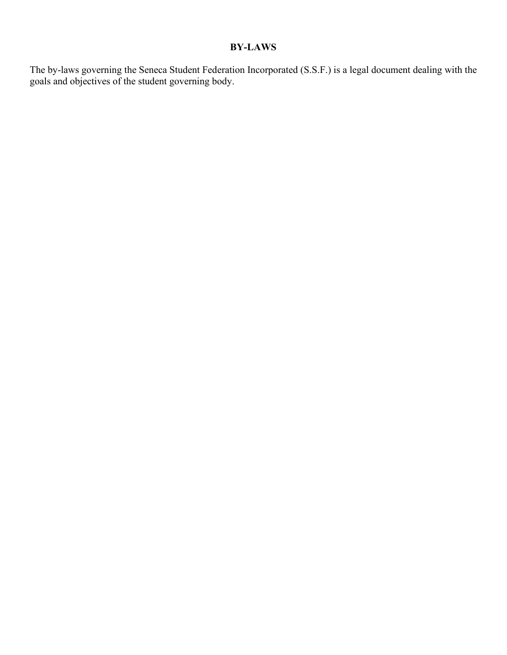# **BY-LAWS**

The by-laws governing the Seneca Student Federation Incorporated (S.S.F.) is a legal document dealing with the goals and objectives of the student governing body.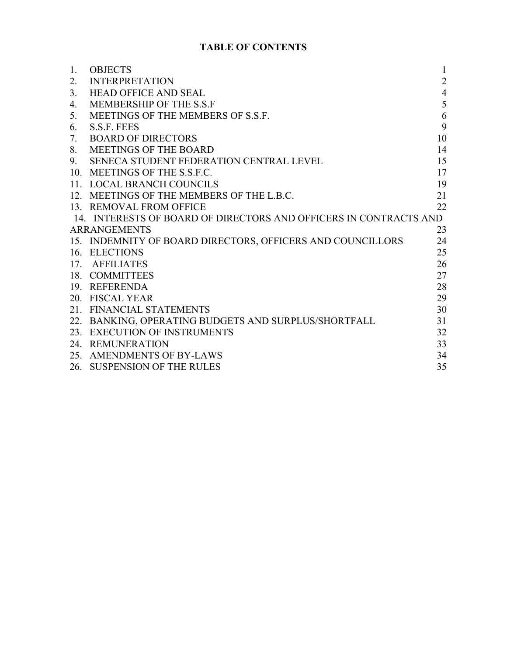# **TABLE OF CONTENTS**

| 1.  | <b>OBJECTS</b>                                                    | $\mathbf{1}$   |
|-----|-------------------------------------------------------------------|----------------|
| 2.  | <b>INTERPRETATION</b>                                             | $\overline{2}$ |
| 3.  | <b>HEAD OFFICE AND SEAL</b>                                       | $\overline{4}$ |
| 4.  | MEMBERSHIP OF THE S.S.F                                           | 5              |
| 5.  | MEETINGS OF THE MEMBERS OF S.S.F.                                 | 6              |
| 6.  | S.S.F. FEES                                                       | 9              |
| 7.  | <b>BOARD OF DIRECTORS</b>                                         | 10             |
| 8.  | <b>MEETINGS OF THE BOARD</b>                                      | 14             |
| 9.  | SENECA STUDENT FEDERATION CENTRAL LEVEL                           | 15             |
|     | 10. MEETINGS OF THE S.S.F.C.                                      | 17             |
|     | 11. LOCAL BRANCH COUNCILS                                         | 19             |
|     | 12. MEETINGS OF THE MEMBERS OF THE L.B.C.                         | 21             |
|     | 13. REMOVAL FROM OFFICE                                           | 22             |
|     | 14. INTERESTS OF BOARD OF DIRECTORS AND OFFICERS IN CONTRACTS AND |                |
|     | <b>ARRANGEMENTS</b>                                               | 23             |
|     | 15. INDEMNITY OF BOARD DIRECTORS, OFFICERS AND COUNCILLORS        | 24             |
|     | 16. ELECTIONS                                                     | 25             |
|     | 17. AFFILIATES                                                    | 26             |
|     | 18. COMMITTEES                                                    | 27             |
|     | 19. REFERENDA                                                     | 28             |
|     | 20. FISCAL YEAR                                                   | 29             |
|     | 21. FINANCIAL STATEMENTS                                          | 30             |
| 22. | BANKING, OPERATING BUDGETS AND SURPLUS/SHORTFALL                  | 31             |
|     | 23. EXECUTION OF INSTRUMENTS                                      | 32             |
|     | 24. REMUNERATION                                                  | 33             |
|     | 25. AMENDMENTS OF BY-LAWS                                         | 34             |
|     | 26. SUSPENSION OF THE RULES                                       | 35             |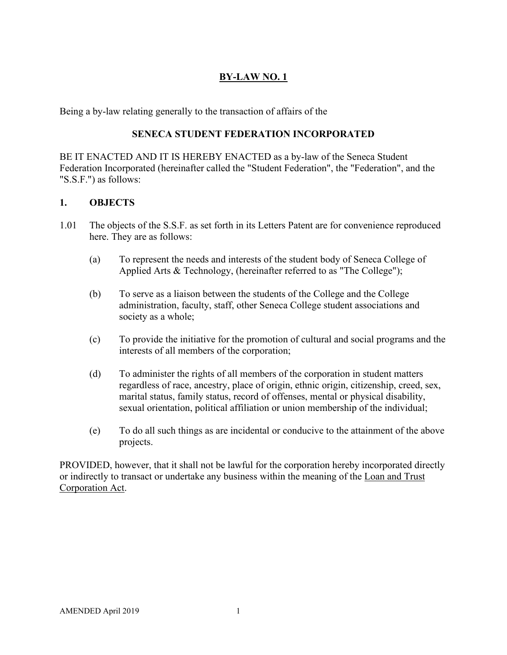# **BY-LAW NO. 1**

Being a by-law relating generally to the transaction of affairs of the

# **SENECA STUDENT FEDERATION INCORPORATED**

BE IT ENACTED AND IT IS HEREBY ENACTED as a by-law of the Seneca Student Federation Incorporated (hereinafter called the "Student Federation", the "Federation", and the "S.S.F.") as follows:

# **1. OBJECTS**

- 1.01 The objects of the S.S.F. as set forth in its Letters Patent are for convenience reproduced here. They are as follows:
	- (a) To represent the needs and interests of the student body of Seneca College of Applied Arts & Technology, (hereinafter referred to as "The College");
	- (b) To serve as a liaison between the students of the College and the College administration, faculty, staff, other Seneca College student associations and society as a whole;
	- (c) To provide the initiative for the promotion of cultural and social programs and the interests of all members of the corporation;
	- (d) To administer the rights of all members of the corporation in student matters regardless of race, ancestry, place of origin, ethnic origin, citizenship, creed, sex, marital status, family status, record of offenses, mental or physical disability, sexual orientation, political affiliation or union membership of the individual;
	- (e) To do all such things as are incidental or conducive to the attainment of the above projects.

PROVIDED, however, that it shall not be lawful for the corporation hereby incorporated directly or indirectly to transact or undertake any business within the meaning of the Loan and Trust Corporation Act.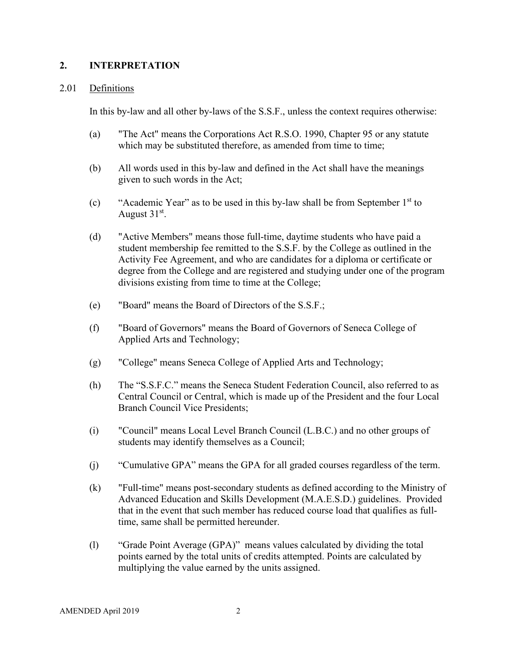#### **2. INTERPRETATION**

#### 2.01 Definitions

In this by-law and all other by-laws of the S.S.F., unless the context requires otherwise:

- (a) "The Act" means the Corporations Act R.S.O. 1990, Chapter 95 or any statute which may be substituted therefore, as amended from time to time;
- (b) All words used in this by-law and defined in the Act shall have the meanings given to such words in the Act;
- (c) "Academic Year" as to be used in this by-law shall be from September  $1<sup>st</sup>$  to August  $31<sup>st</sup>$ .
- (d) "Active Members" means those full-time, daytime students who have paid a student membership fee remitted to the S.S.F. by the College as outlined in the Activity Fee Agreement, and who are candidates for a diploma or certificate or degree from the College and are registered and studying under one of the program divisions existing from time to time at the College;
- (e) "Board" means the Board of Directors of the S.S.F.;
- (f) "Board of Governors" means the Board of Governors of Seneca College of Applied Arts and Technology;
- (g) "College" means Seneca College of Applied Arts and Technology;
- (h) The "S.S.F.C." means the Seneca Student Federation Council, also referred to as Central Council or Central, which is made up of the President and the four Local Branch Council Vice Presidents;
- (i) "Council" means Local Level Branch Council (L.B.C.) and no other groups of students may identify themselves as a Council;
- (j) "Cumulative GPA" means the GPA for all graded courses regardless of the term.
- (k) "Full-time" means post-secondary students as defined according to the Ministry of Advanced Education and Skills Development (M.A.E.S.D.) guidelines. Provided that in the event that such member has reduced course load that qualifies as fulltime, same shall be permitted hereunder.
- (l) "Grade Point Average (GPA)" means values calculated by dividing the total points earned by the total units of credits attempted. Points are calculated by multiplying the value earned by the units assigned.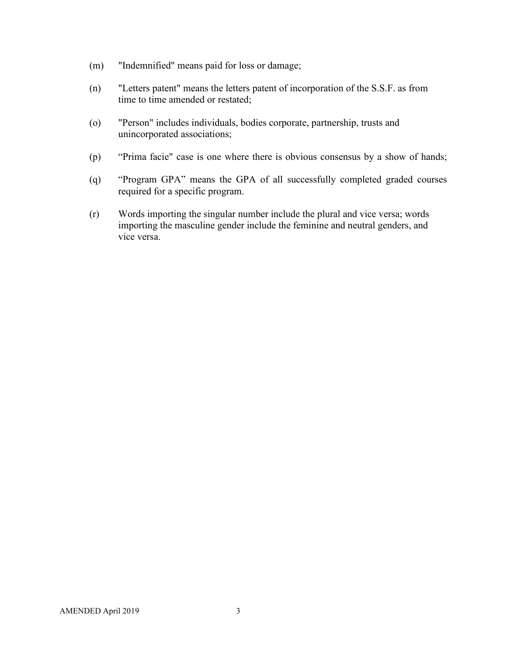- (m) "Indemnified" means paid for loss or damage;
- (n) "Letters patent" means the letters patent of incorporation of the S.S.F. as from time to time amended or restated;
- (o) "Person" includes individuals, bodies corporate, partnership, trusts and unincorporated associations;
- (p) "Prima facie" case is one where there is obvious consensus by a show of hands;
- (q) "Program GPA" means the GPA of all successfully completed graded courses required for a specific program.
- (r) Words importing the singular number include the plural and vice versa; words importing the masculine gender include the feminine and neutral genders, and vice versa.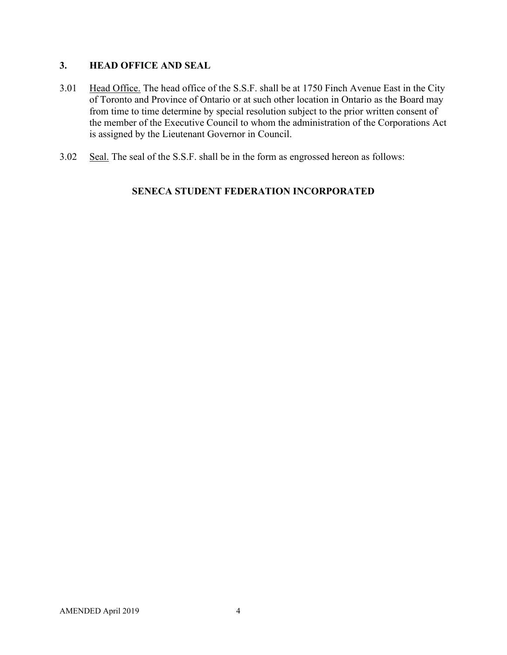# **3. HEAD OFFICE AND SEAL**

- 3.01 Head Office. The head office of the S.S.F. shall be at 1750 Finch Avenue East in the City of Toronto and Province of Ontario or at such other location in Ontario as the Board may from time to time determine by special resolution subject to the prior written consent of the member of the Executive Council to whom the administration of the Corporations Act is assigned by the Lieutenant Governor in Council.
- 3.02 Seal. The seal of the S.S.F. shall be in the form as engrossed hereon as follows:

# **SENECA STUDENT FEDERATION INCORPORATED**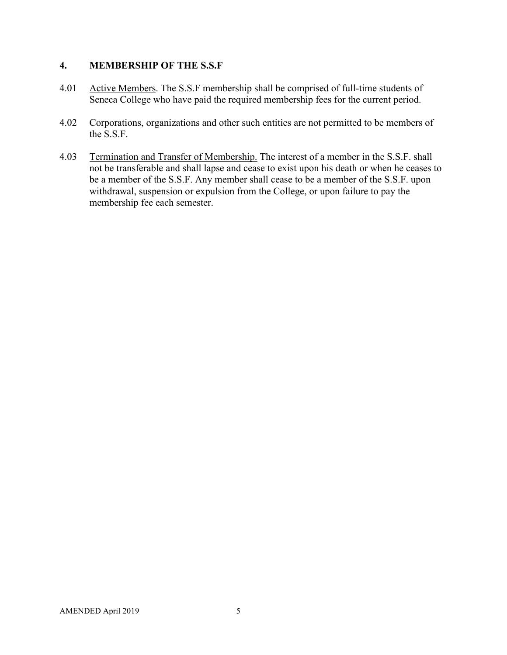## **4. MEMBERSHIP OF THE S.S.F**

- 4.01 Active Members. The S.S.F membership shall be comprised of full-time students of Seneca College who have paid the required membership fees for the current period.
- 4.02 Corporations, organizations and other such entities are not permitted to be members of the S.S.F.
- 4.03 Termination and Transfer of Membership. The interest of a member in the S.S.F. shall not be transferable and shall lapse and cease to exist upon his death or when he ceases to be a member of the S.S.F. Any member shall cease to be a member of the S.S.F. upon withdrawal, suspension or expulsion from the College, or upon failure to pay the membership fee each semester.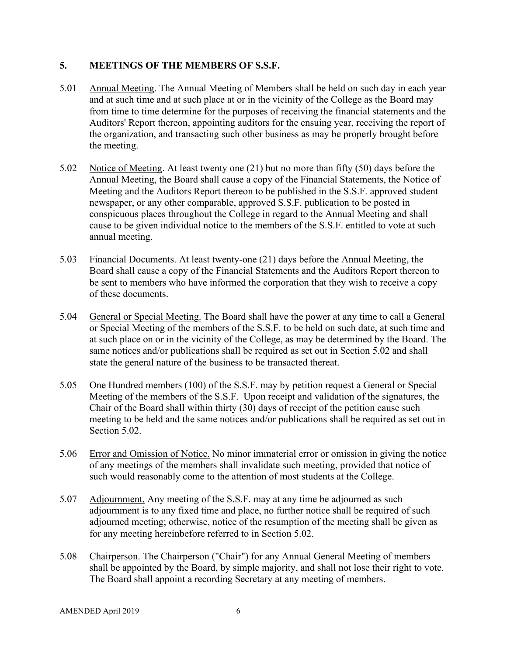## **5. MEETINGS OF THE MEMBERS OF S.S.F.**

- 5.01 Annual Meeting. The Annual Meeting of Members shall be held on such day in each year and at such time and at such place at or in the vicinity of the College as the Board may from time to time determine for the purposes of receiving the financial statements and the Auditors' Report thereon, appointing auditors for the ensuing year, receiving the report of the organization, and transacting such other business as may be properly brought before the meeting.
- 5.02 Notice of Meeting. At least twenty one (21) but no more than fifty (50) days before the Annual Meeting, the Board shall cause a copy of the Financial Statements, the Notice of Meeting and the Auditors Report thereon to be published in the S.S.F. approved student newspaper, or any other comparable, approved S.S.F. publication to be posted in conspicuous places throughout the College in regard to the Annual Meeting and shall cause to be given individual notice to the members of the S.S.F. entitled to vote at such annual meeting.
- 5.03 Financial Documents. At least twenty-one (21) days before the Annual Meeting, the Board shall cause a copy of the Financial Statements and the Auditors Report thereon to be sent to members who have informed the corporation that they wish to receive a copy of these documents.
- 5.04 General or Special Meeting. The Board shall have the power at any time to call a General or Special Meeting of the members of the S.S.F. to be held on such date, at such time and at such place on or in the vicinity of the College, as may be determined by the Board. The same notices and/or publications shall be required as set out in Section 5.02 and shall state the general nature of the business to be transacted thereat.
- 5.05 One Hundred members (100) of the S.S.F. may by petition request a General or Special Meeting of the members of the S.S.F. Upon receipt and validation of the signatures, the Chair of the Board shall within thirty (30) days of receipt of the petition cause such meeting to be held and the same notices and/or publications shall be required as set out in Section 5.02.
- 5.06 Error and Omission of Notice. No minor immaterial error or omission in giving the notice of any meetings of the members shall invalidate such meeting, provided that notice of such would reasonably come to the attention of most students at the College.
- 5.07 Adjournment. Any meeting of the S.S.F. may at any time be adjourned as such adjournment is to any fixed time and place, no further notice shall be required of such adjourned meeting; otherwise, notice of the resumption of the meeting shall be given as for any meeting hereinbefore referred to in Section 5.02.
- 5.08 Chairperson. The Chairperson ("Chair") for any Annual General Meeting of members shall be appointed by the Board, by simple majority, and shall not lose their right to vote. The Board shall appoint a recording Secretary at any meeting of members.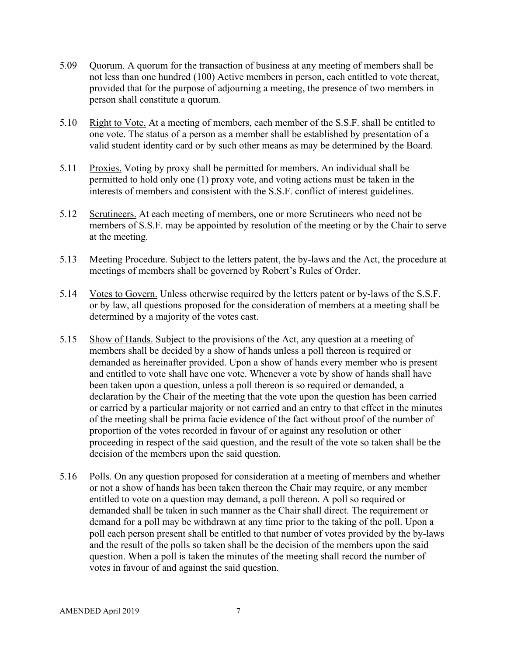- 5.09 Quorum. A quorum for the transaction of business at any meeting of members shall be not less than one hundred (100) Active members in person, each entitled to vote thereat, provided that for the purpose of adjourning a meeting, the presence of two members in person shall constitute a quorum.
- 5.10 Right to Vote. At a meeting of members, each member of the S.S.F. shall be entitled to one vote. The status of a person as a member shall be established by presentation of a valid student identity card or by such other means as may be determined by the Board.
- 5.11 Proxies. Voting by proxy shall be permitted for members. An individual shall be permitted to hold only one (1) proxy vote, and voting actions must be taken in the interests of members and consistent with the S.S.F. conflict of interest guidelines.
- 5.12 Scrutineers. At each meeting of members, one or more Scrutineers who need not be members of S.S.F. may be appointed by resolution of the meeting or by the Chair to serve at the meeting.
- 5.13 Meeting Procedure. Subject to the letters patent, the by-laws and the Act, the procedure at meetings of members shall be governed by Robert's Rules of Order.
- 5.14 Votes to Govern. Unless otherwise required by the letters patent or by-laws of the S.S.F. or by law, all questions proposed for the consideration of members at a meeting shall be determined by a majority of the votes cast.
- 5.15 Show of Hands. Subject to the provisions of the Act, any question at a meeting of members shall be decided by a show of hands unless a poll thereon is required or demanded as hereinafter provided. Upon a show of hands every member who is present and entitled to vote shall have one vote. Whenever a vote by show of hands shall have been taken upon a question, unless a poll thereon is so required or demanded, a declaration by the Chair of the meeting that the vote upon the question has been carried or carried by a particular majority or not carried and an entry to that effect in the minutes of the meeting shall be prima facie evidence of the fact without proof of the number of proportion of the votes recorded in favour of or against any resolution or other proceeding in respect of the said question, and the result of the vote so taken shall be the decision of the members upon the said question.
- 5.16 Polls. On any question proposed for consideration at a meeting of members and whether or not a show of hands has been taken thereon the Chair may require, or any member entitled to vote on a question may demand, a poll thereon. A poll so required or demanded shall be taken in such manner as the Chair shall direct. The requirement or demand for a poll may be withdrawn at any time prior to the taking of the poll. Upon a poll each person present shall be entitled to that number of votes provided by the by-laws and the result of the polls so taken shall be the decision of the members upon the said question. When a poll is taken the minutes of the meeting shall record the number of votes in favour of and against the said question.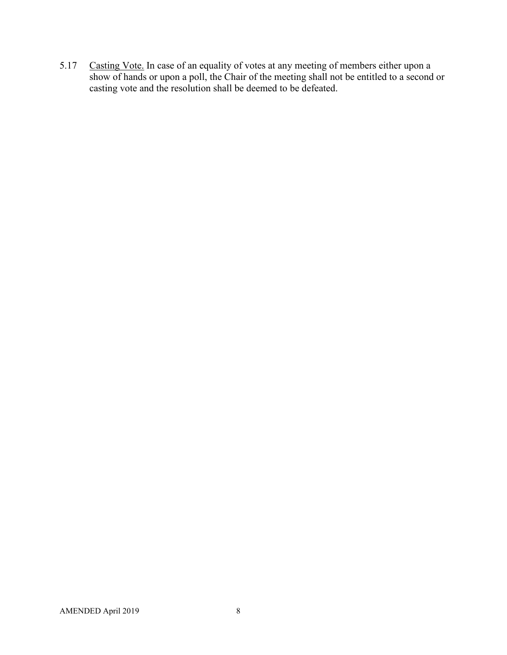5.17 Casting Vote. In case of an equality of votes at any meeting of members either upon a show of hands or upon a poll, the Chair of the meeting shall not be entitled to a second or casting vote and the resolution shall be deemed to be defeated.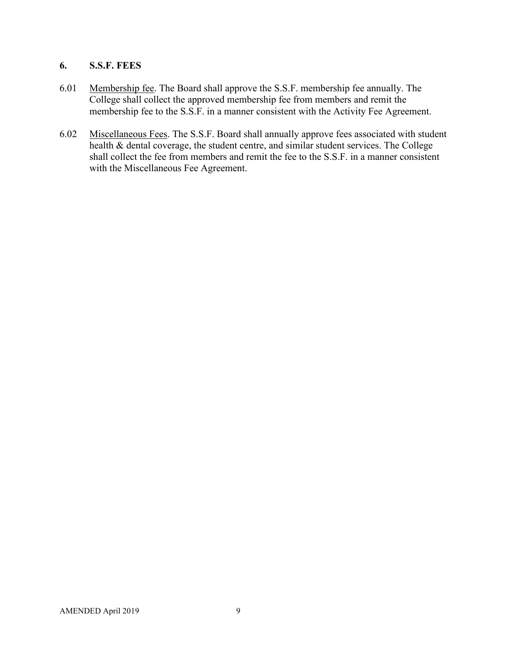# **6. S.S.F. FEES**

- 6.01 Membership fee. The Board shall approve the S.S.F. membership fee annually. The College shall collect the approved membership fee from members and remit the membership fee to the S.S.F. in a manner consistent with the Activity Fee Agreement.
- 6.02 Miscellaneous Fees. The S.S.F. Board shall annually approve fees associated with student health & dental coverage, the student centre, and similar student services. The College shall collect the fee from members and remit the fee to the S.S.F. in a manner consistent with the Miscellaneous Fee Agreement.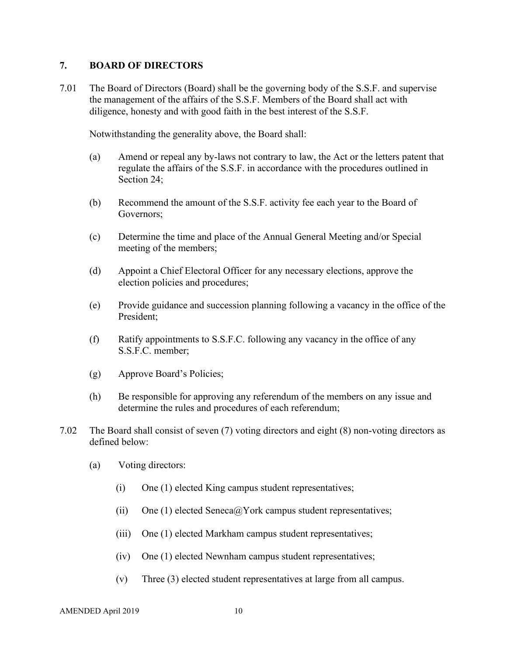#### **7. BOARD OF DIRECTORS**

7.01 The Board of Directors (Board) shall be the governing body of the S.S.F. and supervise the management of the affairs of the S.S.F. Members of the Board shall act with diligence, honesty and with good faith in the best interest of the S.S.F.

Notwithstanding the generality above, the Board shall:

- (a) Amend or repeal any by-laws not contrary to law, the Act or the letters patent that regulate the affairs of the S.S.F. in accordance with the procedures outlined in Section 24:
- (b) Recommend the amount of the S.S.F. activity fee each year to the Board of Governors;
- (c) Determine the time and place of the Annual General Meeting and/or Special meeting of the members;
- (d) Appoint a Chief Electoral Officer for any necessary elections, approve the election policies and procedures;
- (e) Provide guidance and succession planning following a vacancy in the office of the President;
- (f) Ratify appointments to S.S.F.C. following any vacancy in the office of any S.S.F.C. member;
- (g) Approve Board's Policies;
- (h) Be responsible for approving any referendum of the members on any issue and determine the rules and procedures of each referendum;
- 7.02 The Board shall consist of seven (7) voting directors and eight (8) non-voting directors as defined below:
	- (a) Voting directors:
		- (i) One (1) elected King campus student representatives;
		- (ii) One (1) elected Seneca@York campus student representatives;
		- (iii) One (1) elected Markham campus student representatives;
		- (iv) One (1) elected Newnham campus student representatives;
		- (v) Three (3) elected student representatives at large from all campus.

AMENDED April 2019 10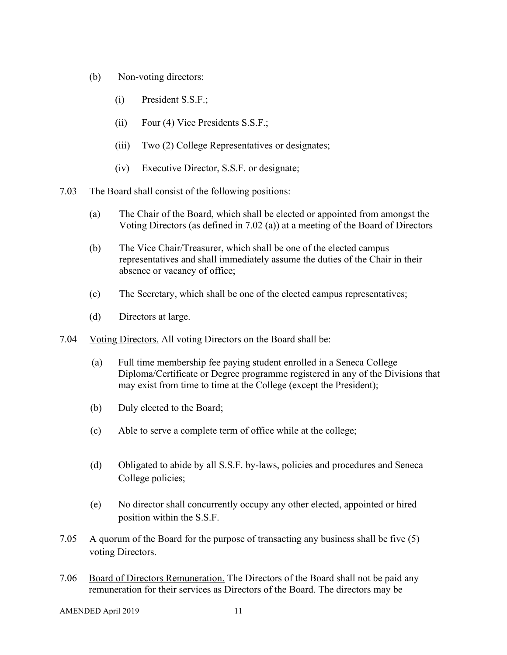- (b) Non-voting directors:
	- (i) President S.S.F.;
	- (ii) Four (4) Vice Presidents S.S.F.;
	- (iii) Two (2) College Representatives or designates;
	- (iv) Executive Director, S.S.F. or designate;
- 7.03 The Board shall consist of the following positions:
	- (a) The Chair of the Board, which shall be elected or appointed from amongst the Voting Directors (as defined in 7.02 (a)) at a meeting of the Board of Directors
	- (b) The Vice Chair/Treasurer, which shall be one of the elected campus representatives and shall immediately assume the duties of the Chair in their absence or vacancy of office;
	- (c) The Secretary, which shall be one of the elected campus representatives;
	- (d) Directors at large.
- 7.04 Voting Directors. All voting Directors on the Board shall be:
	- (a) Full time membership fee paying student enrolled in a Seneca College Diploma/Certificate or Degree programme registered in any of the Divisions that may exist from time to time at the College (except the President);
	- (b) Duly elected to the Board;
	- (c) Able to serve a complete term of office while at the college;
	- (d) Obligated to abide by all S.S.F. by-laws, policies and procedures and Seneca College policies;
	- (e) No director shall concurrently occupy any other elected, appointed or hired position within the S.S.F.
- 7.05 A quorum of the Board for the purpose of transacting any business shall be five (5) voting Directors.
- 7.06 Board of Directors Remuneration. The Directors of the Board shall not be paid any remuneration for their services as Directors of the Board. The directors may be

AMENDED April 2019 11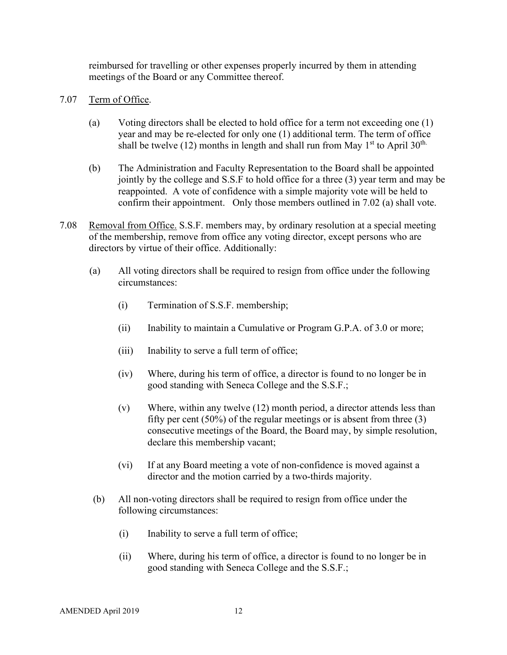reimbursed for travelling or other expenses properly incurred by them in attending meetings of the Board or any Committee thereof.

- 7.07 Term of Office.
	- (a) Voting directors shall be elected to hold office for a term not exceeding one (1) year and may be re-elected for only one (1) additional term. The term of office shall be twelve (12) months in length and shall run from May  $1<sup>st</sup>$  to April 30<sup>th.</sup>
	- (b) The Administration and Faculty Representation to the Board shall be appointed jointly by the college and S.S.F to hold office for a three (3) year term and may be reappointed. A vote of confidence with a simple majority vote will be held to confirm their appointment. Only those members outlined in 7.02 (a) shall vote.
- 7.08 Removal from Office. S.S.F. members may, by ordinary resolution at a special meeting of the membership, remove from office any voting director, except persons who are directors by virtue of their office. Additionally:
	- (a) All voting directors shall be required to resign from office under the following circumstances:
		- (i) Termination of S.S.F. membership;
		- (ii) Inability to maintain a Cumulative or Program G.P.A. of 3.0 or more;
		- (iii) Inability to serve a full term of office;
		- (iv) Where, during his term of office, a director is found to no longer be in good standing with Seneca College and the S.S.F.;
		- (v) Where, within any twelve (12) month period, a director attends less than fifty per cent  $(50\%)$  of the regular meetings or is absent from three  $(3)$ consecutive meetings of the Board, the Board may, by simple resolution, declare this membership vacant;
		- (vi) If at any Board meeting a vote of non-confidence is moved against a director and the motion carried by a two-thirds majority.
	- (b) All non-voting directors shall be required to resign from office under the following circumstances:
		- (i) Inability to serve a full term of office;
		- (ii) Where, during his term of office, a director is found to no longer be in good standing with Seneca College and the S.S.F.;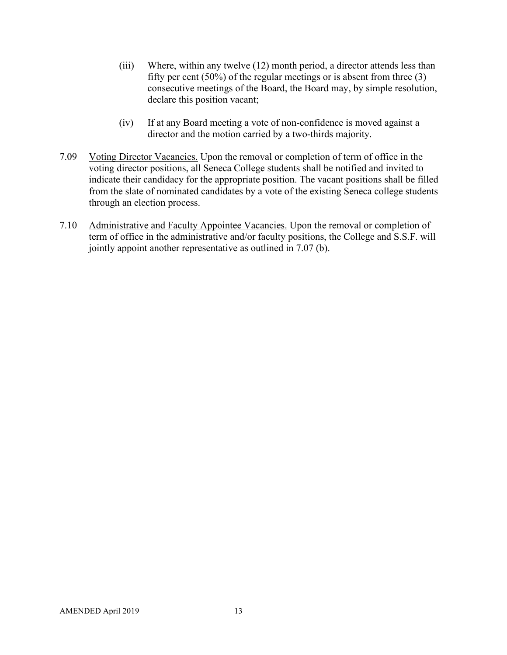- (iii) Where, within any twelve (12) month period, a director attends less than fifty per cent (50%) of the regular meetings or is absent from three (3) consecutive meetings of the Board, the Board may, by simple resolution, declare this position vacant;
- (iv) If at any Board meeting a vote of non-confidence is moved against a director and the motion carried by a two-thirds majority.
- 7.09 Voting Director Vacancies. Upon the removal or completion of term of office in the voting director positions, all Seneca College students shall be notified and invited to indicate their candidacy for the appropriate position. The vacant positions shall be filled from the slate of nominated candidates by a vote of the existing Seneca college students through an election process.
- 7.10 Administrative and Faculty Appointee Vacancies. Upon the removal or completion of term of office in the administrative and/or faculty positions, the College and S.S.F. will jointly appoint another representative as outlined in 7.07 (b).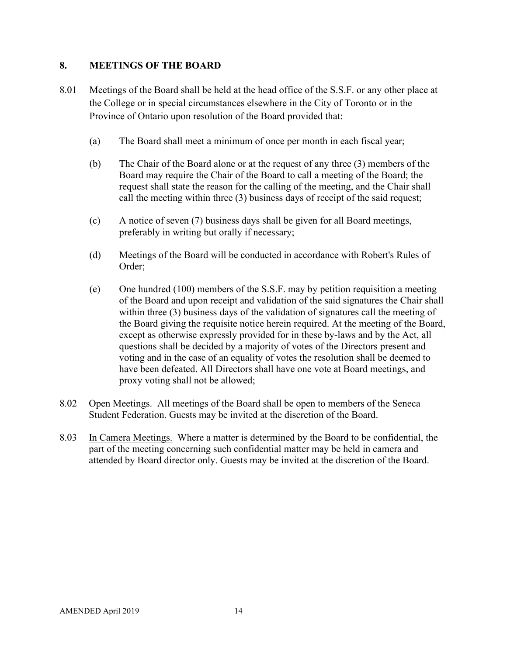# **8. MEETINGS OF THE BOARD**

- 8.01 Meetings of the Board shall be held at the head office of the S.S.F. or any other place at the College or in special circumstances elsewhere in the City of Toronto or in the Province of Ontario upon resolution of the Board provided that:
	- (a) The Board shall meet a minimum of once per month in each fiscal year;
	- (b) The Chair of the Board alone or at the request of any three (3) members of the Board may require the Chair of the Board to call a meeting of the Board; the request shall state the reason for the calling of the meeting, and the Chair shall call the meeting within three (3) business days of receipt of the said request;
	- (c) A notice of seven (7) business days shall be given for all Board meetings, preferably in writing but orally if necessary;
	- (d) Meetings of the Board will be conducted in accordance with Robert's Rules of Order;
	- (e) One hundred (100) members of the S.S.F. may by petition requisition a meeting of the Board and upon receipt and validation of the said signatures the Chair shall within three (3) business days of the validation of signatures call the meeting of the Board giving the requisite notice herein required. At the meeting of the Board, except as otherwise expressly provided for in these by-laws and by the Act, all questions shall be decided by a majority of votes of the Directors present and voting and in the case of an equality of votes the resolution shall be deemed to have been defeated. All Directors shall have one vote at Board meetings, and proxy voting shall not be allowed;
- 8.02 Open Meetings. All meetings of the Board shall be open to members of the Seneca Student Federation. Guests may be invited at the discretion of the Board.
- 8.03 In Camera Meetings. Where a matter is determined by the Board to be confidential, the part of the meeting concerning such confidential matter may be held in camera and attended by Board director only. Guests may be invited at the discretion of the Board.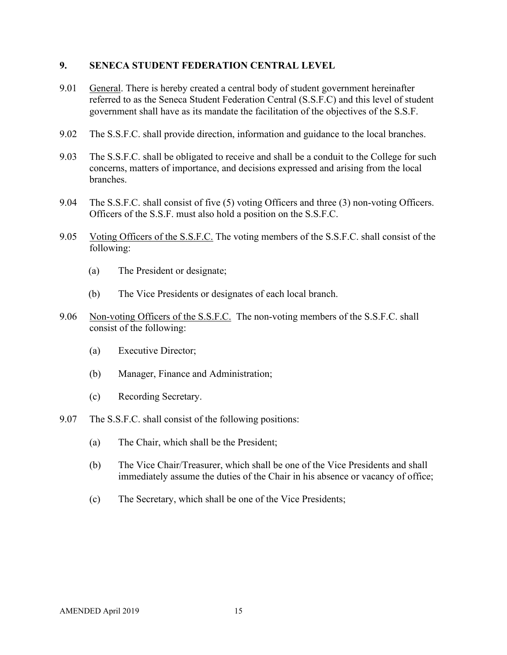#### **9. SENECA STUDENT FEDERATION CENTRAL LEVEL**

- 9.01 General. There is hereby created a central body of student government hereinafter referred to as the Seneca Student Federation Central (S.S.F.C) and this level of student government shall have as its mandate the facilitation of the objectives of the S.S.F.
- 9.02 The S.S.F.C. shall provide direction, information and guidance to the local branches.
- 9.03 The S.S.F.C. shall be obligated to receive and shall be a conduit to the College for such concerns, matters of importance, and decisions expressed and arising from the local branches.
- 9.04 The S.S.F.C. shall consist of five (5) voting Officers and three (3) non-voting Officers. Officers of the S.S.F. must also hold a position on the S.S.F.C.
- 9.05 Voting Officers of the S.S.F.C. The voting members of the S.S.F.C. shall consist of the following:
	- (a) The President or designate;
	- (b) The Vice Presidents or designates of each local branch.
- 9.06 Non-voting Officers of the S.S.F.C. The non-voting members of the S.S.F.C. shall consist of the following:
	- (a) Executive Director;
	- (b) Manager, Finance and Administration;
	- (c) Recording Secretary.
- 9.07 The S.S.F.C. shall consist of the following positions:
	- (a) The Chair, which shall be the President;
	- (b) The Vice Chair/Treasurer, which shall be one of the Vice Presidents and shall immediately assume the duties of the Chair in his absence or vacancy of office;
	- (c) The Secretary, which shall be one of the Vice Presidents;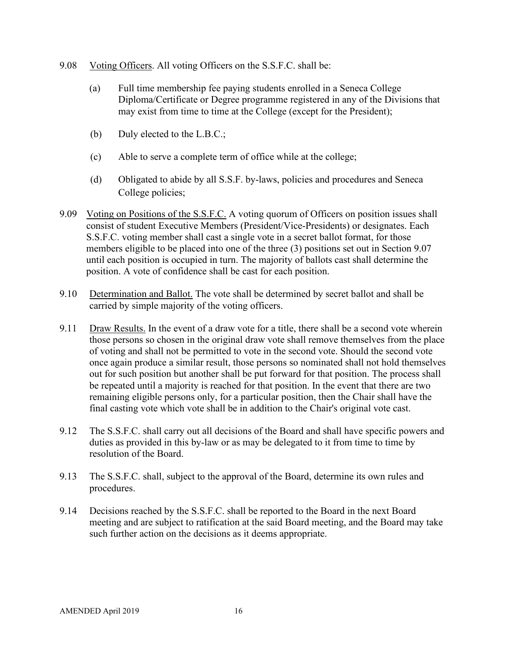- 9.08 Voting Officers. All voting Officers on the S.S.F.C. shall be:
	- (a) Full time membership fee paying students enrolled in a Seneca College Diploma/Certificate or Degree programme registered in any of the Divisions that may exist from time to time at the College (except for the President);
	- (b) Duly elected to the L.B.C.;
	- (c) Able to serve a complete term of office while at the college;
	- (d) Obligated to abide by all S.S.F. by-laws, policies and procedures and Seneca College policies;
- 9.09 Voting on Positions of the S.S.F.C. A voting quorum of Officers on position issues shall consist of student Executive Members (President/Vice-Presidents) or designates. Each S.S.F.C. voting member shall cast a single vote in a secret ballot format, for those members eligible to be placed into one of the three (3) positions set out in Section 9.07 until each position is occupied in turn. The majority of ballots cast shall determine the position. A vote of confidence shall be cast for each position.
- 9.10 Determination and Ballot. The vote shall be determined by secret ballot and shall be carried by simple majority of the voting officers.
- 9.11 Draw Results. In the event of a draw vote for a title, there shall be a second vote wherein those persons so chosen in the original draw vote shall remove themselves from the place of voting and shall not be permitted to vote in the second vote. Should the second vote once again produce a similar result, those persons so nominated shall not hold themselves out for such position but another shall be put forward for that position. The process shall be repeated until a majority is reached for that position. In the event that there are two remaining eligible persons only, for a particular position, then the Chair shall have the final casting vote which vote shall be in addition to the Chair's original vote cast.
- 9.12 The S.S.F.C. shall carry out all decisions of the Board and shall have specific powers and duties as provided in this by-law or as may be delegated to it from time to time by resolution of the Board.
- 9.13 The S.S.F.C. shall, subject to the approval of the Board, determine its own rules and procedures.
- 9.14 Decisions reached by the S.S.F.C. shall be reported to the Board in the next Board meeting and are subject to ratification at the said Board meeting, and the Board may take such further action on the decisions as it deems appropriate.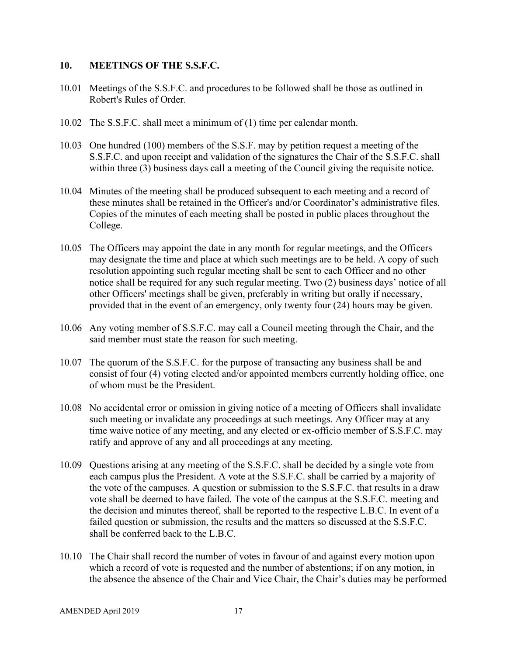#### **10. MEETINGS OF THE S.S.F.C.**

- 10.01 Meetings of the S.S.F.C. and procedures to be followed shall be those as outlined in Robert's Rules of Order.
- 10.02 The S.S.F.C. shall meet a minimum of (1) time per calendar month.
- 10.03 One hundred (100) members of the S.S.F. may by petition request a meeting of the S.S.F.C. and upon receipt and validation of the signatures the Chair of the S.S.F.C. shall within three (3) business days call a meeting of the Council giving the requisite notice.
- 10.04 Minutes of the meeting shall be produced subsequent to each meeting and a record of these minutes shall be retained in the Officer's and/or Coordinator's administrative files. Copies of the minutes of each meeting shall be posted in public places throughout the College.
- 10.05 The Officers may appoint the date in any month for regular meetings, and the Officers may designate the time and place at which such meetings are to be held. A copy of such resolution appointing such regular meeting shall be sent to each Officer and no other notice shall be required for any such regular meeting. Two (2) business days' notice of all other Officers' meetings shall be given, preferably in writing but orally if necessary, provided that in the event of an emergency, only twenty four (24) hours may be given.
- 10.06 Any voting member of S.S.F.C. may call a Council meeting through the Chair, and the said member must state the reason for such meeting.
- 10.07 The quorum of the S.S.F.C. for the purpose of transacting any business shall be and consist of four (4) voting elected and/or appointed members currently holding office, one of whom must be the President.
- 10.08 No accidental error or omission in giving notice of a meeting of Officers shall invalidate such meeting or invalidate any proceedings at such meetings. Any Officer may at any time waive notice of any meeting, and any elected or ex-officio member of S.S.F.C. may ratify and approve of any and all proceedings at any meeting.
- 10.09 Questions arising at any meeting of the S.S.F.C. shall be decided by a single vote from each campus plus the President. A vote at the S.S.F.C. shall be carried by a majority of the vote of the campuses. A question or submission to the S.S.F.C. that results in a draw vote shall be deemed to have failed. The vote of the campus at the S.S.F.C. meeting and the decision and minutes thereof, shall be reported to the respective L.B.C. In event of a failed question or submission, the results and the matters so discussed at the S.S.F.C. shall be conferred back to the L.B.C.
- 10.10 The Chair shall record the number of votes in favour of and against every motion upon which a record of vote is requested and the number of abstentions; if on any motion, in the absence the absence of the Chair and Vice Chair, the Chair's duties may be performed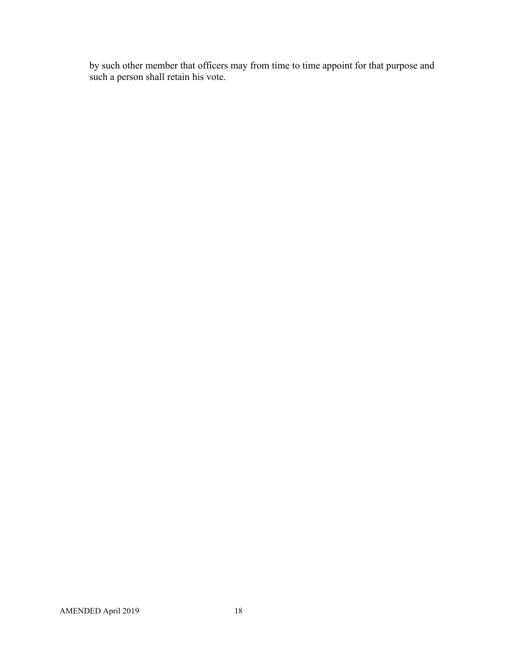by such other member that officers may from time to time appoint for that purpose and such a person shall retain his vote.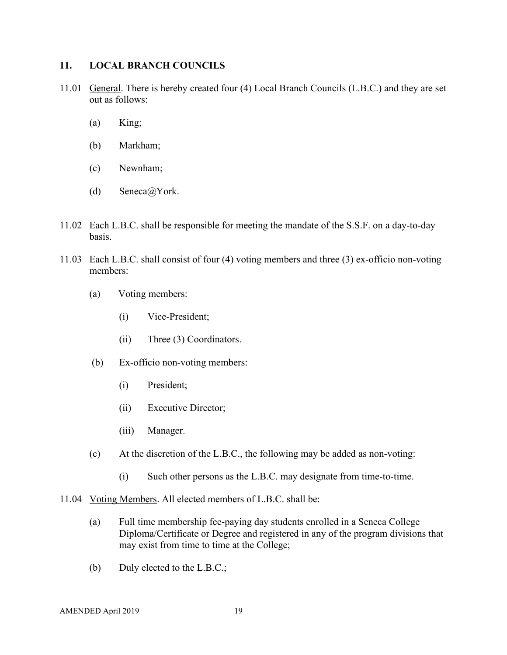#### **11. LOCAL BRANCH COUNCILS**

- 11.01 General. There is hereby created four (4) Local Branch Councils (L.B.C.) and they are set out as follows:
	- (a) King;
	- (b) Markham;
	- (c) Newnham;
	- (d) Seneca@York.
- 11.02 Each L.B.C. shall be responsible for meeting the mandate of the S.S.F. on a day-to-day basis.
- 11.03 Each L.B.C. shall consist of four (4) voting members and three (3) ex-officio non-voting members:
	- (a) Voting members:
		- (i) Vice-President;
		- (ii) Three (3) Coordinators.
	- (b) Ex-officio non-voting members:
		- (i) President;
		- (ii) Executive Director;
		- (iii) Manager.
	- (c) At the discretion of the L.B.C., the following may be added as non-voting:
		- (i) Such other persons as the L.B.C. may designate from time-to-time.
- 11.04 Voting Members. All elected members of L.B.C. shall be:
	- (a) Full time membership fee-paying day students enrolled in a Seneca College Diploma/Certificate or Degree and registered in any of the program divisions that may exist from time to time at the College;
	- (b) Duly elected to the L.B.C.;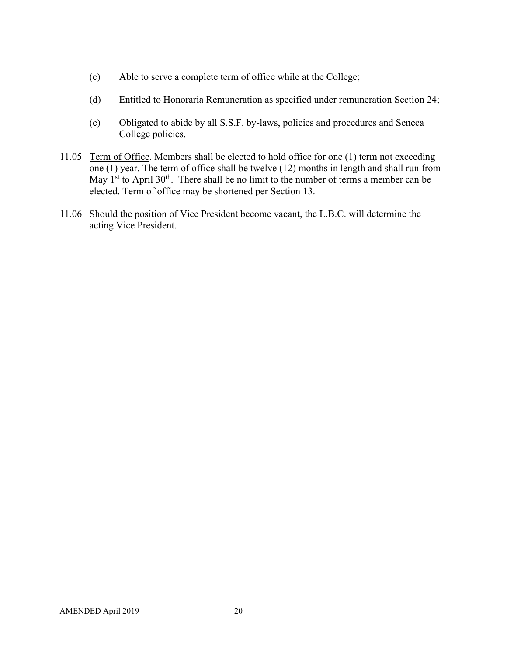- (c) Able to serve a complete term of office while at the College;
- (d) Entitled to Honoraria Remuneration as specified under remuneration Section 24;
- (e) Obligated to abide by all S.S.F. by-laws, policies and procedures and Seneca College policies.
- 11.05 Term of Office. Members shall be elected to hold office for one (1) term not exceeding one (1) year. The term of office shall be twelve (12) months in length and shall run from May  $1<sup>st</sup>$  to April 30<sup>th</sup>. There shall be no limit to the number of terms a member can be elected. Term of office may be shortened per Section 13.
- 11.06 Should the position of Vice President become vacant, the L.B.C. will determine the acting Vice President.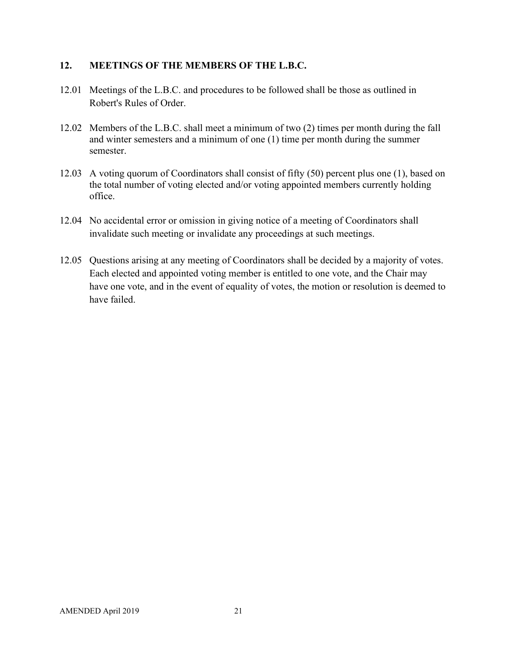#### **12. MEETINGS OF THE MEMBERS OF THE L.B.C.**

- 12.01 Meetings of the L.B.C. and procedures to be followed shall be those as outlined in Robert's Rules of Order.
- 12.02 Members of the L.B.C. shall meet a minimum of two (2) times per month during the fall and winter semesters and a minimum of one (1) time per month during the summer semester.
- 12.03 A voting quorum of Coordinators shall consist of fifty (50) percent plus one (1), based on the total number of voting elected and/or voting appointed members currently holding office.
- 12.04 No accidental error or omission in giving notice of a meeting of Coordinators shall invalidate such meeting or invalidate any proceedings at such meetings.
- 12.05 Questions arising at any meeting of Coordinators shall be decided by a majority of votes. Each elected and appointed voting member is entitled to one vote, and the Chair may have one vote, and in the event of equality of votes, the motion or resolution is deemed to have failed.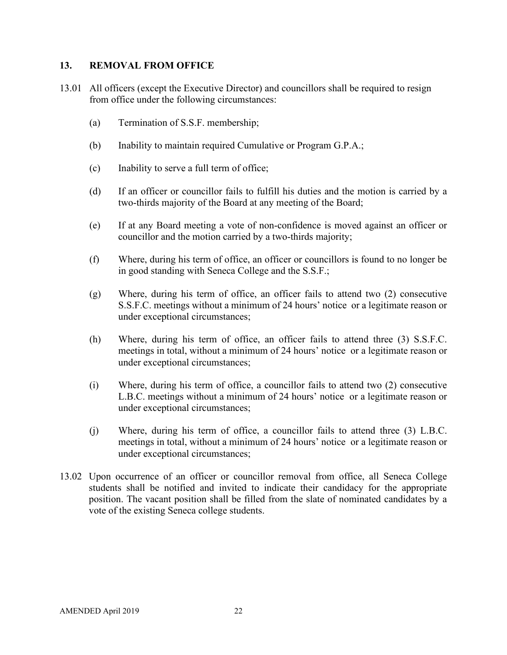#### **13. REMOVAL FROM OFFICE**

- 13.01 All officers (except the Executive Director) and councillors shall be required to resign from office under the following circumstances:
	- (a) Termination of S.S.F. membership;
	- (b) Inability to maintain required Cumulative or Program G.P.A.;
	- (c) Inability to serve a full term of office;
	- (d) If an officer or councillor fails to fulfill his duties and the motion is carried by a two-thirds majority of the Board at any meeting of the Board;
	- (e) If at any Board meeting a vote of non-confidence is moved against an officer or councillor and the motion carried by a two-thirds majority;
	- (f) Where, during his term of office, an officer or councillors is found to no longer be in good standing with Seneca College and the S.S.F.;
	- (g) Where, during his term of office, an officer fails to attend two (2) consecutive S.S.F.C. meetings without a minimum of 24 hours' notice or a legitimate reason or under exceptional circumstances;
	- (h) Where, during his term of office, an officer fails to attend three (3) S.S.F.C. meetings in total, without a minimum of 24 hours' notice or a legitimate reason or under exceptional circumstances;
	- (i) Where, during his term of office, a councillor fails to attend two (2) consecutive L.B.C. meetings without a minimum of 24 hours' notice or a legitimate reason or under exceptional circumstances;
	- (j) Where, during his term of office, a councillor fails to attend three (3) L.B.C. meetings in total, without a minimum of 24 hours' notice or a legitimate reason or under exceptional circumstances;
- 13.02 Upon occurrence of an officer or councillor removal from office, all Seneca College students shall be notified and invited to indicate their candidacy for the appropriate position. The vacant position shall be filled from the slate of nominated candidates by a vote of the existing Seneca college students.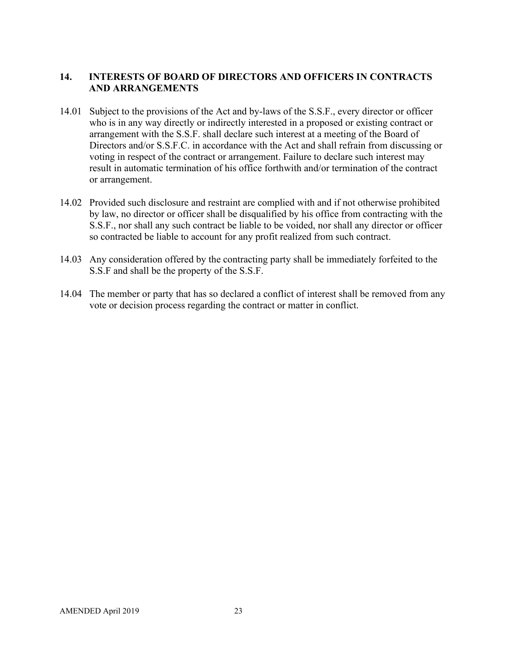# **14. INTERESTS OF BOARD OF DIRECTORS AND OFFICERS IN CONTRACTS AND ARRANGEMENTS**

- 14.01 Subject to the provisions of the Act and by-laws of the S.S.F., every director or officer who is in any way directly or indirectly interested in a proposed or existing contract or arrangement with the S.S.F. shall declare such interest at a meeting of the Board of Directors and/or S.S.F.C. in accordance with the Act and shall refrain from discussing or voting in respect of the contract or arrangement. Failure to declare such interest may result in automatic termination of his office forthwith and/or termination of the contract or arrangement.
- 14.02 Provided such disclosure and restraint are complied with and if not otherwise prohibited by law, no director or officer shall be disqualified by his office from contracting with the S.S.F., nor shall any such contract be liable to be voided, nor shall any director or officer so contracted be liable to account for any profit realized from such contract.
- 14.03 Any consideration offered by the contracting party shall be immediately forfeited to the S.S.F and shall be the property of the S.S.F.
- 14.04 The member or party that has so declared a conflict of interest shall be removed from any vote or decision process regarding the contract or matter in conflict.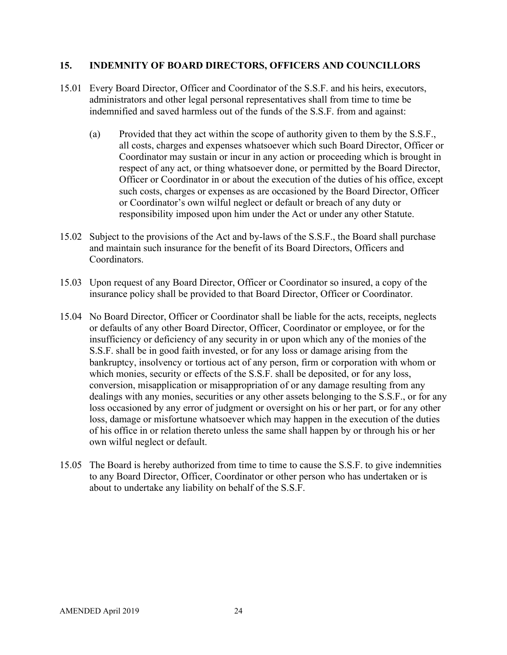#### **15. INDEMNITY OF BOARD DIRECTORS, OFFICERS AND COUNCILLORS**

- 15.01 Every Board Director, Officer and Coordinator of the S.S.F. and his heirs, executors, administrators and other legal personal representatives shall from time to time be indemnified and saved harmless out of the funds of the S.S.F. from and against:
	- (a) Provided that they act within the scope of authority given to them by the S.S.F., all costs, charges and expenses whatsoever which such Board Director, Officer or Coordinator may sustain or incur in any action or proceeding which is brought in respect of any act, or thing whatsoever done, or permitted by the Board Director, Officer or Coordinator in or about the execution of the duties of his office, except such costs, charges or expenses as are occasioned by the Board Director, Officer or Coordinator's own wilful neglect or default or breach of any duty or responsibility imposed upon him under the Act or under any other Statute.
- 15.02 Subject to the provisions of the Act and by-laws of the S.S.F., the Board shall purchase and maintain such insurance for the benefit of its Board Directors, Officers and Coordinators.
- 15.03 Upon request of any Board Director, Officer or Coordinator so insured, a copy of the insurance policy shall be provided to that Board Director, Officer or Coordinator.
- 15.04 No Board Director, Officer or Coordinator shall be liable for the acts, receipts, neglects or defaults of any other Board Director, Officer, Coordinator or employee, or for the insufficiency or deficiency of any security in or upon which any of the monies of the S.S.F. shall be in good faith invested, or for any loss or damage arising from the bankruptcy, insolvency or tortious act of any person, firm or corporation with whom or which monies, security or effects of the S.S.F. shall be deposited, or for any loss, conversion, misapplication or misappropriation of or any damage resulting from any dealings with any monies, securities or any other assets belonging to the S.S.F., or for any loss occasioned by any error of judgment or oversight on his or her part, or for any other loss, damage or misfortune whatsoever which may happen in the execution of the duties of his office in or relation thereto unless the same shall happen by or through his or her own wilful neglect or default.
- 15.05 The Board is hereby authorized from time to time to cause the S.S.F. to give indemnities to any Board Director, Officer, Coordinator or other person who has undertaken or is about to undertake any liability on behalf of the S.S.F.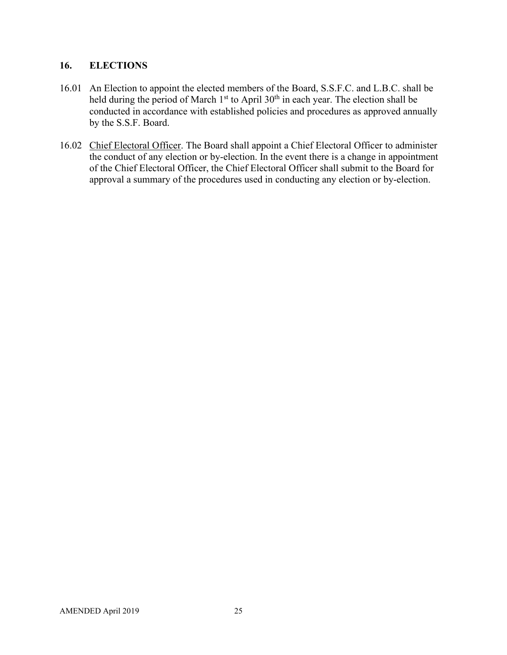#### **16. ELECTIONS**

- 16.01 An Election to appoint the elected members of the Board, S.S.F.C. and L.B.C. shall be held during the period of March  $1<sup>st</sup>$  to April  $30<sup>th</sup>$  in each year. The election shall be conducted in accordance with established policies and procedures as approved annually by the S.S.F. Board.
- 16.02 Chief Electoral Officer. The Board shall appoint a Chief Electoral Officer to administer the conduct of any election or by-election. In the event there is a change in appointment of the Chief Electoral Officer, the Chief Electoral Officer shall submit to the Board for approval a summary of the procedures used in conducting any election or by-election.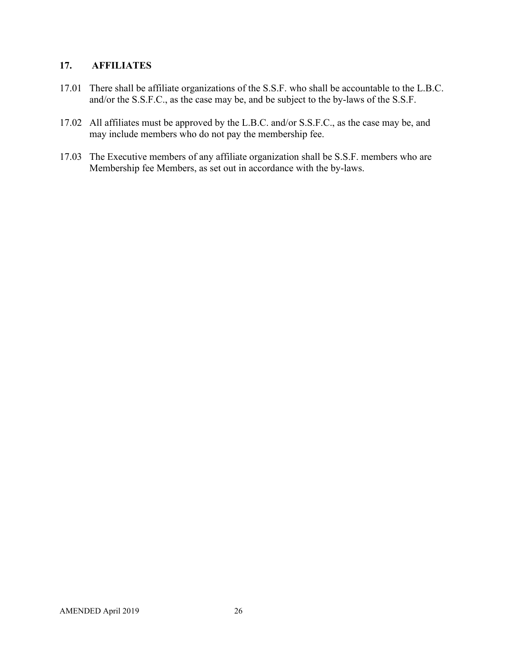# **17. AFFILIATES**

- 17.01 There shall be affiliate organizations of the S.S.F. who shall be accountable to the L.B.C. and/or the S.S.F.C., as the case may be, and be subject to the by-laws of the S.S.F.
- 17.02 All affiliates must be approved by the L.B.C. and/or S.S.F.C., as the case may be, and may include members who do not pay the membership fee.
- 17.03 The Executive members of any affiliate organization shall be S.S.F. members who are Membership fee Members, as set out in accordance with the by-laws.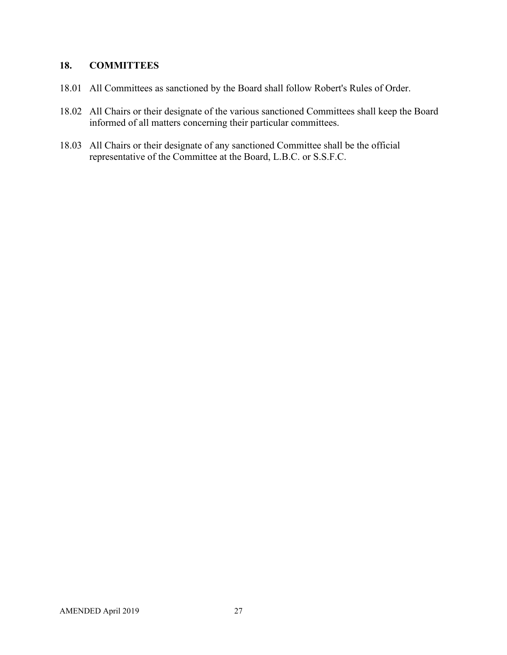# **18. COMMITTEES**

- 18.01 All Committees as sanctioned by the Board shall follow Robert's Rules of Order.
- 18.02 All Chairs or their designate of the various sanctioned Committees shall keep the Board informed of all matters concerning their particular committees.
- 18.03 All Chairs or their designate of any sanctioned Committee shall be the official representative of the Committee at the Board, L.B.C. or S.S.F.C.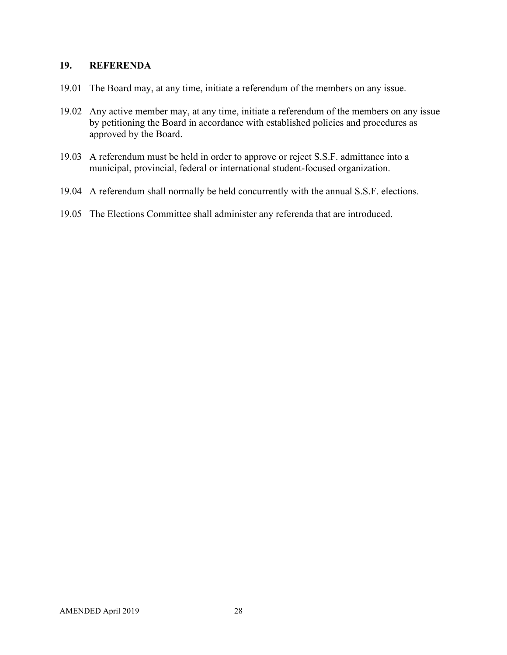#### **19. REFERENDA**

- 19.01 The Board may, at any time, initiate a referendum of the members on any issue.
- 19.02 Any active member may, at any time, initiate a referendum of the members on any issue by petitioning the Board in accordance with established policies and procedures as approved by the Board.
- 19.03 A referendum must be held in order to approve or reject S.S.F. admittance into a municipal, provincial, federal or international student-focused organization.
- 19.04 A referendum shall normally be held concurrently with the annual S.S.F. elections.
- 19.05 The Elections Committee shall administer any referenda that are introduced.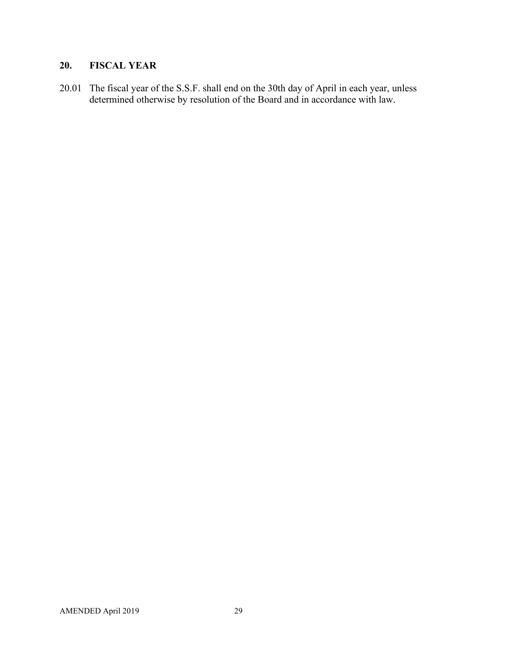# **20. FISCAL YEAR**

20.01 The fiscal year of the S.S.F. shall end on the 30th day of April in each year, unless determined otherwise by resolution of the Board and in accordance with law.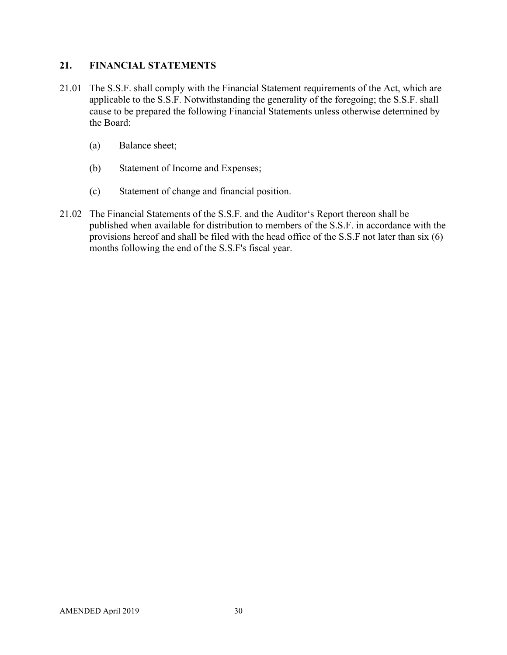## **21. FINANCIAL STATEMENTS**

- 21.01 The S.S.F. shall comply with the Financial Statement requirements of the Act, which are applicable to the S.S.F. Notwithstanding the generality of the foregoing; the S.S.F. shall cause to be prepared the following Financial Statements unless otherwise determined by the Board:
	- (a) Balance sheet;
	- (b) Statement of Income and Expenses;
	- (c) Statement of change and financial position.
- 21.02 The Financial Statements of the S.S.F. and the Auditor's Report thereon shall be published when available for distribution to members of the S.S.F. in accordance with the provisions hereof and shall be filed with the head office of the S.S.F not later than six (6) months following the end of the S.S.F's fiscal year.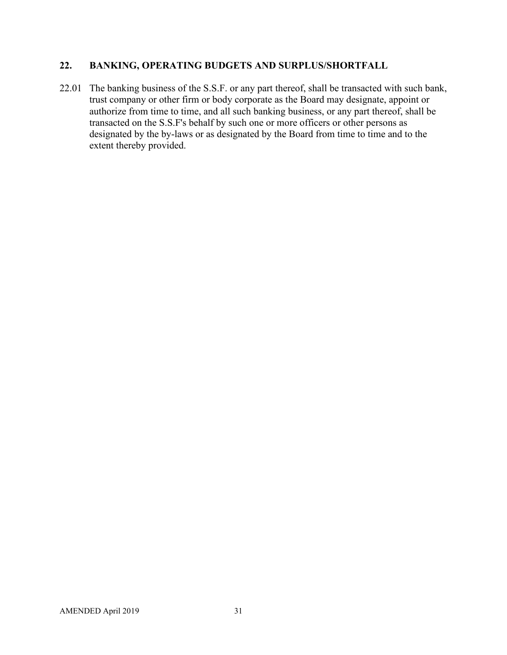# **22. BANKING, OPERATING BUDGETS AND SURPLUS/SHORTFALL**

22.01 The banking business of the S.S.F. or any part thereof, shall be transacted with such bank, trust company or other firm or body corporate as the Board may designate, appoint or authorize from time to time, and all such banking business, or any part thereof, shall be transacted on the S.S.F's behalf by such one or more officers or other persons as designated by the by-laws or as designated by the Board from time to time and to the extent thereby provided.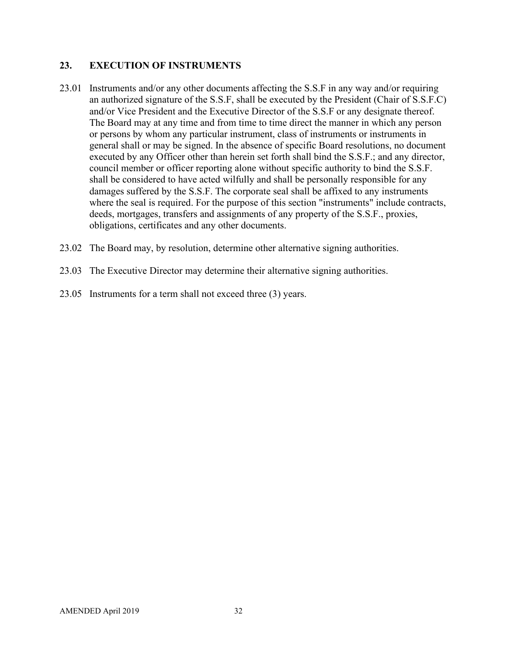## **23. EXECUTION OF INSTRUMENTS**

- 23.01 Instruments and/or any other documents affecting the S.S.F in any way and/or requiring an authorized signature of the S.S.F, shall be executed by the President (Chair of S.S.F.C) and/or Vice President and the Executive Director of the S.S.F or any designate thereof. The Board may at any time and from time to time direct the manner in which any person or persons by whom any particular instrument, class of instruments or instruments in general shall or may be signed. In the absence of specific Board resolutions, no document executed by any Officer other than herein set forth shall bind the S.S.F.; and any director, council member or officer reporting alone without specific authority to bind the S.S.F. shall be considered to have acted wilfully and shall be personally responsible for any damages suffered by the S.S.F. The corporate seal shall be affixed to any instruments where the seal is required. For the purpose of this section "instruments" include contracts, deeds, mortgages, transfers and assignments of any property of the S.S.F., proxies, obligations, certificates and any other documents.
- 23.02 The Board may, by resolution, determine other alternative signing authorities.
- 23.03 The Executive Director may determine their alternative signing authorities.
- 23.05 Instruments for a term shall not exceed three (3) years.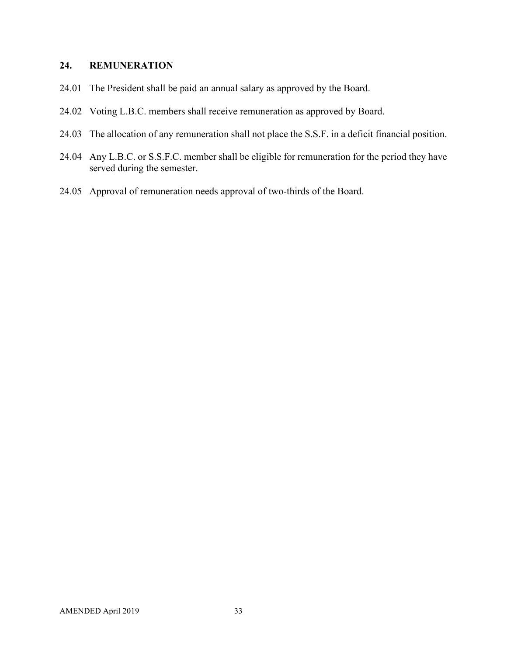#### **24. REMUNERATION**

- 24.01 The President shall be paid an annual salary as approved by the Board.
- 24.02 Voting L.B.C. members shall receive remuneration as approved by Board.
- 24.03 The allocation of any remuneration shall not place the S.S.F. in a deficit financial position.
- 24.04 Any L.B.C. or S.S.F.C. member shall be eligible for remuneration for the period they have served during the semester.
- 24.05 Approval of remuneration needs approval of two-thirds of the Board.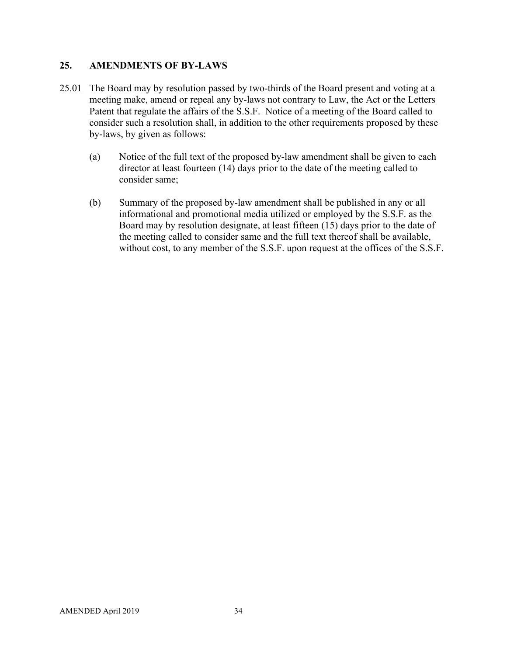## **25. AMENDMENTS OF BY-LAWS**

- 25.01 The Board may by resolution passed by two-thirds of the Board present and voting at a meeting make, amend or repeal any by-laws not contrary to Law, the Act or the Letters Patent that regulate the affairs of the S.S.F. Notice of a meeting of the Board called to consider such a resolution shall, in addition to the other requirements proposed by these by-laws, by given as follows:
	- (a) Notice of the full text of the proposed by-law amendment shall be given to each director at least fourteen (14) days prior to the date of the meeting called to consider same;
	- (b) Summary of the proposed by-law amendment shall be published in any or all informational and promotional media utilized or employed by the S.S.F. as the Board may by resolution designate, at least fifteen (15) days prior to the date of the meeting called to consider same and the full text thereof shall be available, without cost, to any member of the S.S.F. upon request at the offices of the S.S.F.